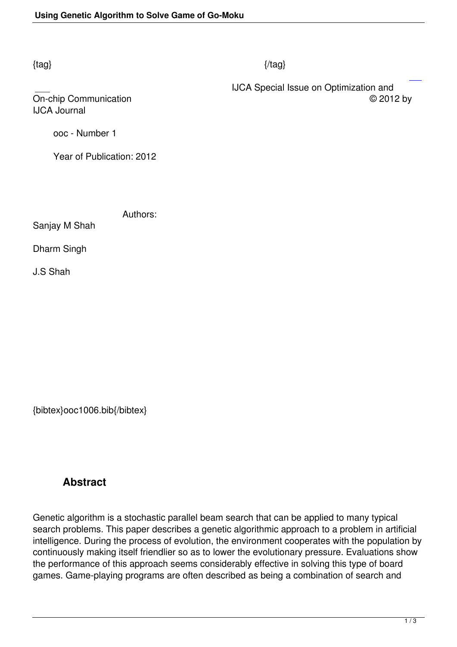## $\{tag\}$

IJCA Journal

 IJCA Special Issue on Optimization and On-chip Communication © 2012 by

ooc - Number 1

Year of Publication: 2012

Authors:

Sanjay M Shah

Dharm Singh

J.S Shah

{bibtex}ooc1006.bib{/bibtex}

## **Abstract**

Genetic algorithm is a stochastic parallel beam search that can be applied to many typical search problems. This paper describes a genetic algorithmic approach to a problem in artificial intelligence. During the process of evolution, the environment cooperates with the population by continuously making itself friendlier so as to lower the evolutionary pressure. Evaluations show the performance of this approach seems considerably effective in solving this type of board games. Game-playing programs are often described as being a combination of search and